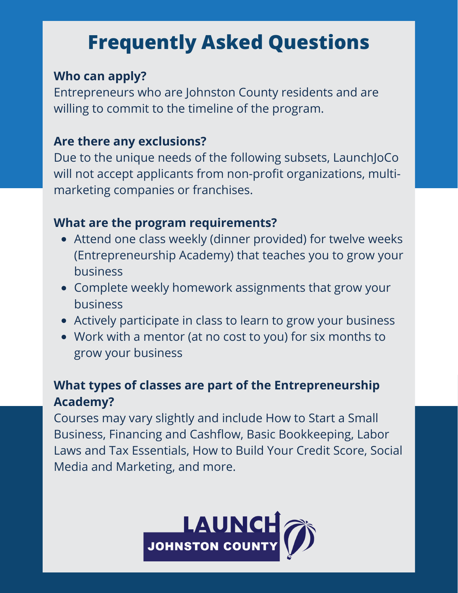# **Frequently Asked Questions**

#### **Who can apply?**

Entrepreneurs who are Johnston County residents and are willing to commit to the timeline of the program.

#### **Are there any exclusions?**

Due to the unique needs of the following subsets, LaunchJoCo will not accept applicants from non-profit organizations, multimarketing companies or franchises.

### **What are the program requirements?**

- Attend one class weekly (dinner provided) for twelve weeks (Entrepreneurship Academy) that teaches you to grow your business
- Complete weekly homework assignments that grow your business
- Actively participate in class to learn to grow your business
- Work with a mentor (at no cost to you) for six months to grow your business

### **What types of classes are part of the Entrepreneurship Academy?**

Courses may vary slightly and include How to Start a Small Business, Financing and Cashflow, Basic Bookkeeping, Labor Laws and Tax Essentials, How to Build Your Credit Score, Social Media and Marketing, and more.

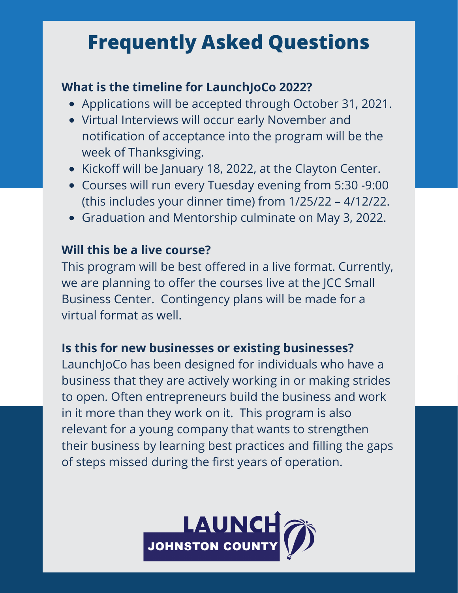## **Frequently Asked Questions**

#### **What is the timeline for LaunchJoCo 2022?**

- Applications will be accepted through October 31, 2021.
- Virtual Interviews will occur early November and notification of acceptance into the program will be the week of Thanksgiving.
- Kickoff will be January 18, 2022, at the Clayton Center.
- Courses will run every Tuesday evening from 5:30 -9:00 (this includes your dinner time) from 1/25/22 – 4/12/22.
- Graduation and Mentorship culminate on May 3, 2022.

#### **Will this be a live course?**

This program will be best offered in a live format. Currently, we are planning to offer the courses live at the JCC Small Business Center. Contingency plans will be made for a virtual format as well.

#### **Is this for new businesses or existing businesses?**

LaunchJoCo has been designed for individuals who have a business that they are actively working in or making strides to open. Often entrepreneurs build the business and work in it more than they work on it. This program is also relevant for a young company that wants to strengthen their business by learning best practices and filling the gaps of steps missed during the first years of operation.